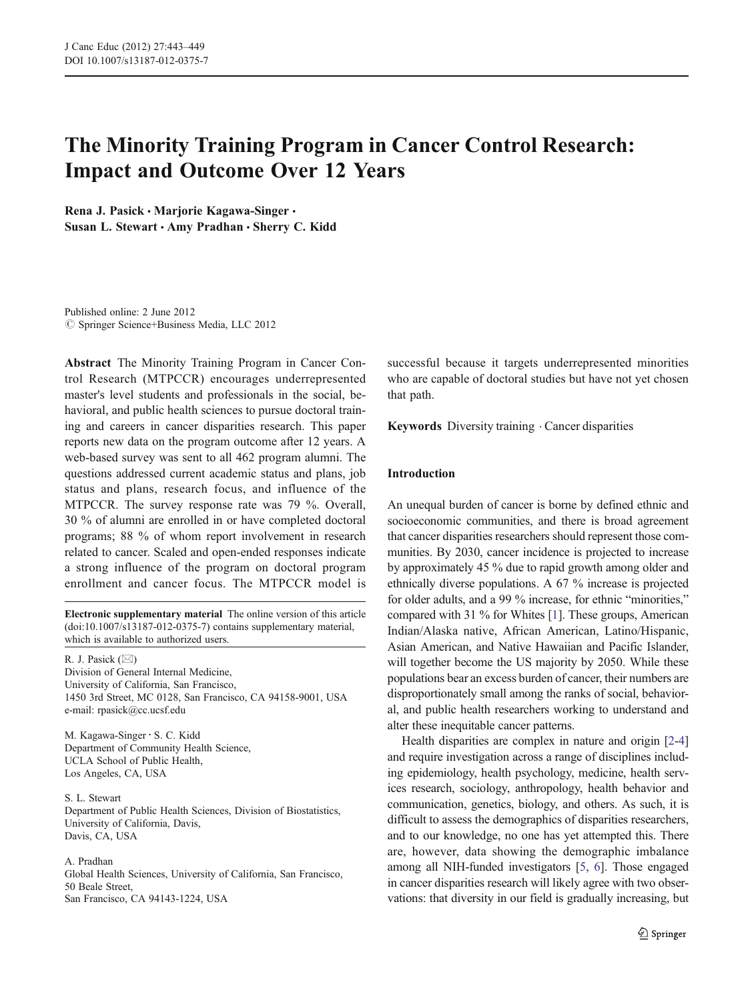# The Minority Training Program in Cancer Control Research: Impact and Outcome Over 12 Years

Rena J. Pasick · Marjorie Kagawa-Singer · Susan L. Stewart · Amy Pradhan · Sherry C. Kidd

Published online: 2 June 2012  $©$  Springer Science+Business Media, LLC 2012

Abstract The Minority Training Program in Cancer Control Research (MTPCCR) encourages underrepresented master's level students and professionals in the social, behavioral, and public health sciences to pursue doctoral training and careers in cancer disparities research. This paper reports new data on the program outcome after 12 years. A web-based survey was sent to all 462 program alumni. The questions addressed current academic status and plans, job status and plans, research focus, and influence of the MTPCCR. The survey response rate was 79 %. Overall, 30 % of alumni are enrolled in or have completed doctoral programs; 88 % of whom report involvement in research related to cancer. Scaled and open-ended responses indicate a strong influence of the program on doctoral program enrollment and cancer focus. The MTPCCR model is

Electronic supplementary material The online version of this article (doi:[10.1007/s13187-012-0375-7](http://dx.doi.org/10.1007/s13187-012-0375-7)) contains supplementary material, which is available to authorized users.

R. J. Pasick  $(\boxtimes)$ 

Division of General Internal Medicine, University of California, San Francisco, 1450 3rd Street, MC 0128, San Francisco, CA 94158-9001, USA e-mail: rpasick@cc.ucsf.edu

M. Kagawa-Singer : S. C. Kidd Department of Community Health Science, UCLA School of Public Health, Los Angeles, CA, USA

S. L. Stewart Department of Public Health Sciences, Division of Biostatistics, University of California, Davis, Davis, CA, USA

## A. Pradhan

Global Health Sciences, University of California, San Francisco, 50 Beale Street, San Francisco, CA 94143-1224, USA

successful because it targets underrepresented minorities who are capable of doctoral studies but have not yet chosen that path.

Keywords Diversity training . Cancer disparities

# Introduction

An unequal burden of cancer is borne by defined ethnic and socioeconomic communities, and there is broad agreement that cancer disparities researchers should represent those communities. By 2030, cancer incidence is projected to increase by approximately 45 % due to rapid growth among older and ethnically diverse populations. A 67 % increase is projected for older adults, and a 99 % increase, for ethnic "minorities," compared with 31 % for Whites [\[1](#page-5-0)]. These groups, American Indian/Alaska native, African American, Latino/Hispanic, Asian American, and Native Hawaiian and Pacific Islander, will together become the US majority by 2050. While these populations bear an excess burden of cancer, their numbers are disproportionately small among the ranks of social, behavioral, and public health researchers working to understand and alter these inequitable cancer patterns.

Health disparities are complex in nature and origin [\[2](#page-5-0)[-4](#page-6-0)] and require investigation across a range of disciplines including epidemiology, health psychology, medicine, health services research, sociology, anthropology, health behavior and communication, genetics, biology, and others. As such, it is difficult to assess the demographics of disparities researchers, and to our knowledge, no one has yet attempted this. There are, however, data showing the demographic imbalance among all NIH-funded investigators [\[5](#page-6-0), [6](#page-6-0)]. Those engaged in cancer disparities research will likely agree with two observations: that diversity in our field is gradually increasing, but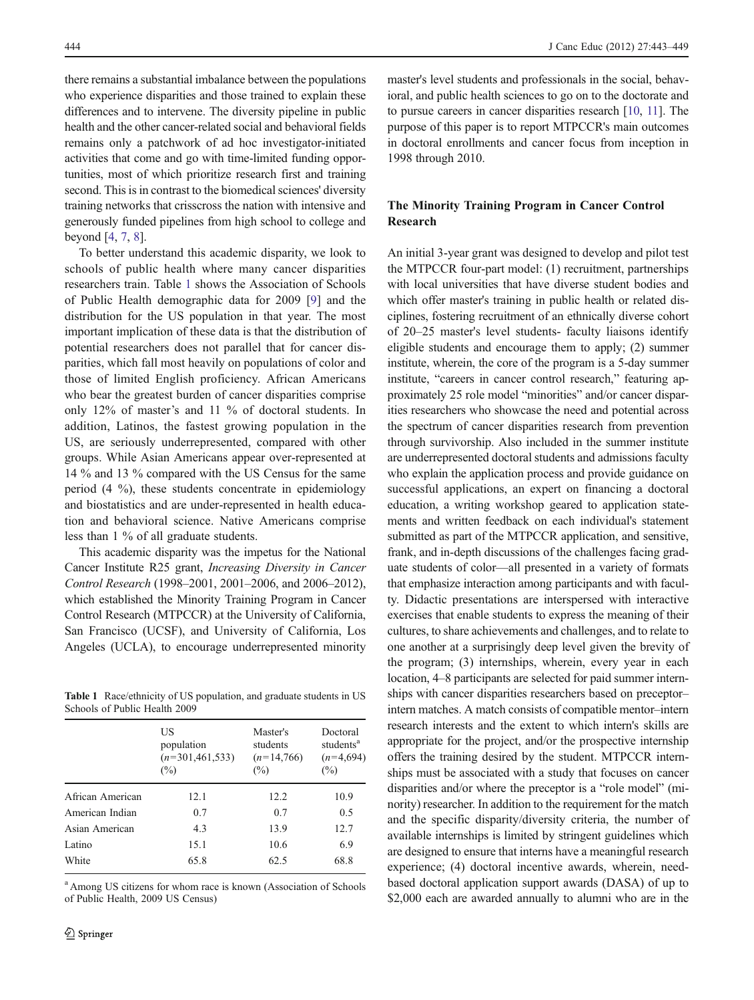there remains a substantial imbalance between the populations who experience disparities and those trained to explain these differences and to intervene. The diversity pipeline in public health and the other cancer-related social and behavioral fields remains only a patchwork of ad hoc investigator-initiated activities that come and go with time-limited funding opportunities, most of which prioritize research first and training second. This is in contrast to the biomedical sciences' diversity training networks that crisscross the nation with intensive and generously funded pipelines from high school to college and beyond [[4](#page-6-0), [7](#page-6-0), [8](#page-6-0)].

To better understand this academic disparity, we look to schools of public health where many cancer disparities researchers train. Table 1 shows the Association of Schools of Public Health demographic data for 2009 [\[9](#page-6-0)] and the distribution for the US population in that year. The most important implication of these data is that the distribution of potential researchers does not parallel that for cancer disparities, which fall most heavily on populations of color and those of limited English proficiency. African Americans who bear the greatest burden of cancer disparities comprise only 12% of master's and 11 % of doctoral students. In addition, Latinos, the fastest growing population in the US, are seriously underrepresented, compared with other groups. While Asian Americans appear over-represented at 14 % and 13 % compared with the US Census for the same period (4 %), these students concentrate in epidemiology and biostatistics and are under-represented in health education and behavioral science. Native Americans comprise less than 1 % of all graduate students.

This academic disparity was the impetus for the National Cancer Institute R25 grant, Increasing Diversity in Cancer Control Research (1998–2001, 2001–2006, and 2006–2012), which established the Minority Training Program in Cancer Control Research (MTPCCR) at the University of California, San Francisco (UCSF), and University of California, Los Angeles (UCLA), to encourage underrepresented minority

Table 1 Race/ethnicity of US population, and graduate students in US Schools of Public Health 2009

|                  | US<br>population<br>$(n=301,461,533)$<br>$(\%)$ | Master's<br>students<br>$(n=14,766)$<br>(%) | Doctoral<br>students <sup>a</sup><br>$(n=4,694)$<br>$\binom{0}{0}$ |  |
|------------------|-------------------------------------------------|---------------------------------------------|--------------------------------------------------------------------|--|
| African American | 12.1                                            | 12.2                                        | 10.9                                                               |  |
| American Indian  | 0.7                                             | 0.7                                         | 0.5                                                                |  |
| Asian American   | 4.3                                             | 13.9                                        | 12.7                                                               |  |
| Latino           | 15.1                                            | 10.6                                        | 6.9                                                                |  |
| White            | 65.8                                            | 62.5                                        | 68.8                                                               |  |
|                  |                                                 |                                             |                                                                    |  |

<sup>a</sup> Among US citizens for whom race is known (Association of Schools of Public Health, 2009 US Census)

master's level students and professionals in the social, behavioral, and public health sciences to go on to the doctorate and to pursue careers in cancer disparities research [[10](#page-6-0), [11](#page-6-0)]. The purpose of this paper is to report MTPCCR's main outcomes in doctoral enrollments and cancer focus from inception in 1998 through 2010.

# The Minority Training Program in Cancer Control Research

An initial 3-year grant was designed to develop and pilot test the MTPCCR four-part model: (1) recruitment, partnerships with local universities that have diverse student bodies and which offer master's training in public health or related disciplines, fostering recruitment of an ethnically diverse cohort of 20–25 master's level students- faculty liaisons identify eligible students and encourage them to apply; (2) summer institute, wherein, the core of the program is a 5-day summer institute, "careers in cancer control research," featuring approximately 25 role model "minorities" and/or cancer disparities researchers who showcase the need and potential across the spectrum of cancer disparities research from prevention through survivorship. Also included in the summer institute are underrepresented doctoral students and admissions faculty who explain the application process and provide guidance on successful applications, an expert on financing a doctoral education, a writing workshop geared to application statements and written feedback on each individual's statement submitted as part of the MTPCCR application, and sensitive, frank, and in-depth discussions of the challenges facing graduate students of color—all presented in a variety of formats that emphasize interaction among participants and with faculty. Didactic presentations are interspersed with interactive exercises that enable students to express the meaning of their cultures, to share achievements and challenges, and to relate to one another at a surprisingly deep level given the brevity of the program; (3) internships, wherein, every year in each location, 4–8 participants are selected for paid summer internships with cancer disparities researchers based on preceptor– intern matches. A match consists of compatible mentor–intern research interests and the extent to which intern's skills are appropriate for the project, and/or the prospective internship offers the training desired by the student. MTPCCR internships must be associated with a study that focuses on cancer disparities and/or where the preceptor is a "role model" (minority) researcher. In addition to the requirement for the match and the specific disparity/diversity criteria, the number of available internships is limited by stringent guidelines which are designed to ensure that interns have a meaningful research experience; (4) doctoral incentive awards, wherein, needbased doctoral application support awards (DASA) of up to \$2,000 each are awarded annually to alumni who are in the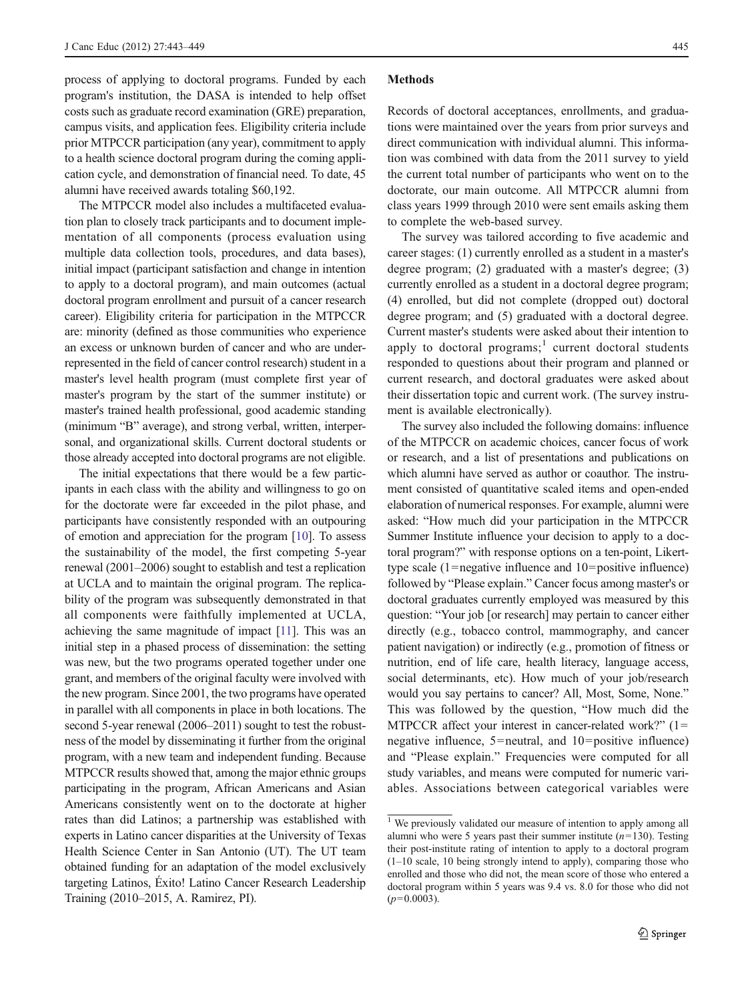process of applying to doctoral programs. Funded by each program's institution, the DASA is intended to help offset costs such as graduate record examination (GRE) preparation, campus visits, and application fees. Eligibility criteria include prior MTPCCR participation (any year), commitment to apply to a health science doctoral program during the coming application cycle, and demonstration of financial need. To date, 45 alumni have received awards totaling \$60,192.

The MTPCCR model also includes a multifaceted evaluation plan to closely track participants and to document implementation of all components (process evaluation using multiple data collection tools, procedures, and data bases), initial impact (participant satisfaction and change in intention to apply to a doctoral program), and main outcomes (actual doctoral program enrollment and pursuit of a cancer research career). Eligibility criteria for participation in the MTPCCR are: minority (defined as those communities who experience an excess or unknown burden of cancer and who are underrepresented in the field of cancer control research) student in a master's level health program (must complete first year of master's program by the start of the summer institute) or master's trained health professional, good academic standing (minimum "B" average), and strong verbal, written, interpersonal, and organizational skills. Current doctoral students or those already accepted into doctoral programs are not eligible.

The initial expectations that there would be a few participants in each class with the ability and willingness to go on for the doctorate were far exceeded in the pilot phase, and participants have consistently responded with an outpouring of emotion and appreciation for the program [[10](#page-6-0)]. To assess the sustainability of the model, the first competing 5-year renewal (2001–2006) sought to establish and test a replication at UCLA and to maintain the original program. The replicability of the program was subsequently demonstrated in that all components were faithfully implemented at UCLA, achieving the same magnitude of impact [\[11\]](#page-6-0). This was an initial step in a phased process of dissemination: the setting was new, but the two programs operated together under one grant, and members of the original faculty were involved with the new program. Since 2001, the two programs have operated in parallel with all components in place in both locations. The second 5-year renewal (2006–2011) sought to test the robustness of the model by disseminating it further from the original program, with a new team and independent funding. Because MTPCCR results showed that, among the major ethnic groups participating in the program, African Americans and Asian Americans consistently went on to the doctorate at higher rates than did Latinos; a partnership was established with experts in Latino cancer disparities at the University of Texas Health Science Center in San Antonio (UT). The UT team obtained funding for an adaptation of the model exclusively targeting Latinos, Éxito! Latino Cancer Research Leadership Training (2010–2015, A. Ramirez, PI).

#### **Methods**

Records of doctoral acceptances, enrollments, and graduations were maintained over the years from prior surveys and direct communication with individual alumni. This information was combined with data from the 2011 survey to yield the current total number of participants who went on to the doctorate, our main outcome. All MTPCCR alumni from class years 1999 through 2010 were sent emails asking them to complete the web-based survey.

The survey was tailored according to five academic and career stages: (1) currently enrolled as a student in a master's degree program; (2) graduated with a master's degree; (3) currently enrolled as a student in a doctoral degree program; (4) enrolled, but did not complete (dropped out) doctoral degree program; and (5) graduated with a doctoral degree. Current master's students were asked about their intention to apply to doctoral programs; $<sup>1</sup>$  current doctoral students</sup> responded to questions about their program and planned or current research, and doctoral graduates were asked about their dissertation topic and current work. (The survey instrument is available electronically).

The survey also included the following domains: influence of the MTPCCR on academic choices, cancer focus of work or research, and a list of presentations and publications on which alumni have served as author or coauthor. The instrument consisted of quantitative scaled items and open-ended elaboration of numerical responses. For example, alumni were asked: "How much did your participation in the MTPCCR Summer Institute influence your decision to apply to a doctoral program?" with response options on a ten-point, Likerttype scale (1=negative influence and 10=positive influence) followed by "Please explain." Cancer focus among master's or doctoral graduates currently employed was measured by this question: "Your job [or research] may pertain to cancer either directly (e.g., tobacco control, mammography, and cancer patient navigation) or indirectly (e.g., promotion of fitness or nutrition, end of life care, health literacy, language access, social determinants, etc). How much of your job/research would you say pertains to cancer? All, Most, Some, None." This was followed by the question, "How much did the MTPCCR affect your interest in cancer-related work?"  $(1=$ negative influence,  $5$ =neutral, and  $10$ =positive influence) and "Please explain." Frequencies were computed for all study variables, and means were computed for numeric variables. Associations between categorical variables were

<sup>&</sup>lt;sup>1</sup> We previously validated our measure of intention to apply among all alumni who were 5 years past their summer institute  $(n=130)$ . Testing their post-institute rating of intention to apply to a doctoral program (1–10 scale, 10 being strongly intend to apply), comparing those who enrolled and those who did not, the mean score of those who entered a doctoral program within 5 years was 9.4 vs. 8.0 for those who did not  $(p=0.0003)$ .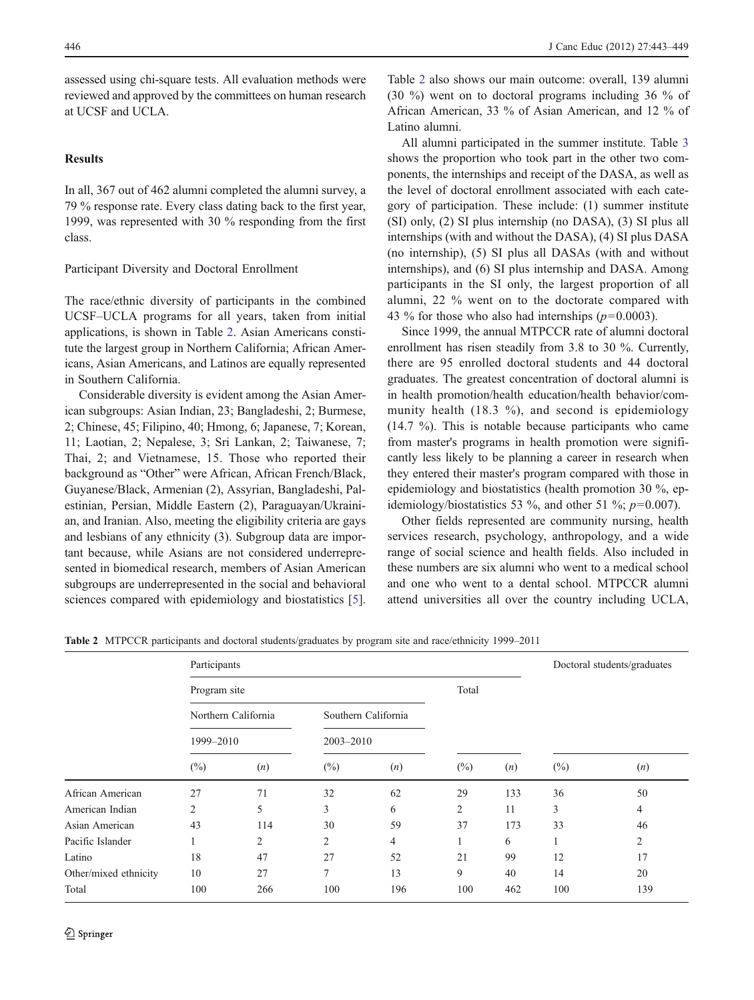assessed using chi-square tests. All evaluation methods were reviewed and approved by the committees on human research at UCSF and UCLA.

# **Results**

In all, 367 out of 462 alumni completed the alumni survey, a 79 % response rate. Every class dating back to the first year, 1999, was represented with 30 % responding from the first class.

#### Participant Diversity and Doctoral Enrollment

The race/ethnic diversity of participants in the combined UCSF–UCLA programs for all years, taken from initial applications, is shown in Table 2. Asian Americans constitute the largest group in Northern California; African Americans, Asian Americans, and Latinos are equally represented in Southern California.

Considerable diversity is evident among the Asian American subgroups: Asian Indian, 23; Bangladeshi, 2; Burmese, 2; Chinese, 45; Filipino, 40; Hmong, 6; Japanese, 7; Korean, 11; Laotian, 2; Nepalese, 3; Sri Lankan, 2; Taiwanese, 7; Thai, 2; and Vietnamese, 15. Those who reported their background as "Other" were African, African French/Black, Guyanese/Black, Armenian (2), Assyrian, Bangladeshi, Palestinian, Persian, Middle Eastern (2), Paraguayan/Ukrainian, and Iranian. Also, meeting the eligibility criteria are gays and lesbians of any ethnicity (3). Subgroup data are important because, while Asians are not considered underrepresented in biomedical research, members of Asian American subgroups are underrepresented in the social and behavioral sciences compared with epidemiology and biostatistics [\[5](#page-6-0)].

Table 2 also shows our main outcome: overall, 139 alumni (30 %) went on to doctoral programs including 36 % of African American, 33 % of Asian American, and 12 % of Latino alumni.

All alumni participated in the summer institute. Table [3](#page-4-0) shows the proportion who took part in the other two components, the internships and receipt of the DASA, as well as the level of doctoral enrollment associated with each category of participation. These include: (1) summer institute (SI) only, (2) SI plus internship (no DASA), (3) SI plus all internships (with and without the DASA), (4) SI plus DASA (no internship), (5) SI plus all DASAs (with and without internships), and (6) SI plus internship and DASA. Among participants in the SI only, the largest proportion of all alumni, 22 % went on to the doctorate compared with 43 % for those who also had internships  $(p=0.0003)$ .

Since 1999, the annual MTPCCR rate of alumni doctoral enrollment has risen steadily from 3.8 to 30 %. Currently, there are 95 enrolled doctoral students and 44 doctoral graduates. The greatest concentration of doctoral alumni is in health promotion/health education/health behavior/community health (18.3 %), and second is epidemiology (14.7 %). This is notable because participants who came from master's programs in health promotion were significantly less likely to be planning a career in research when they entered their master's program compared with those in epidemiology and biostatistics (health promotion 30 %, epidemiology/biostatistics 53 %, and other 51 %;  $p=0.007$ ).

Other fields represented are community nursing, health services research, psychology, anthropology, and a wide range of social science and health fields. Also included in these numbers are six alumni who went to a medical school and one who went to a dental school. MTPCCR alumni attend universities all over the country including UCLA,

Table 2 MTPCCR participants and doctoral students/graduates by program site and race/ethnicity 1999–2011

|                       | Participants                     |     |                                      |     |        | Doctoral students/graduates |        |     |
|-----------------------|----------------------------------|-----|--------------------------------------|-----|--------|-----------------------------|--------|-----|
|                       | Program site                     |     |                                      |     | Total  |                             |        |     |
|                       | Northern California<br>1999-2010 |     | Southern California<br>$2003 - 2010$ |     |        |                             |        |     |
|                       |                                  |     |                                      |     |        |                             |        |     |
|                       | $(\%)$                           | (n) | $(\%)$                               | (n) | $(\%)$ | (n)                         | $(\%)$ | (n) |
| African American      | 27                               | 71  | 32                                   | 62  | 29     | 133                         | 36     | 50  |
| American Indian       | 2                                | 5   | 3                                    | 6   | 2      | 11                          | 3      | 4   |
| Asian American        | 43                               | 114 | 30                                   | 59  | 37     | 173                         | 33     | 46  |
| Pacific Islander      |                                  | 2   | 2                                    | 4   | 1      | 6                           |        | 2   |
| Latino                | 18                               | 47  | 27                                   | 52  | 21     | 99                          | 12     | 17  |
| Other/mixed ethnicity | 10                               | 27  | 7                                    | 13  | 9      | 40                          | 14     | 20  |
| Total                 | 100                              | 266 | 100                                  | 196 | 100    | 462                         | 100    | 139 |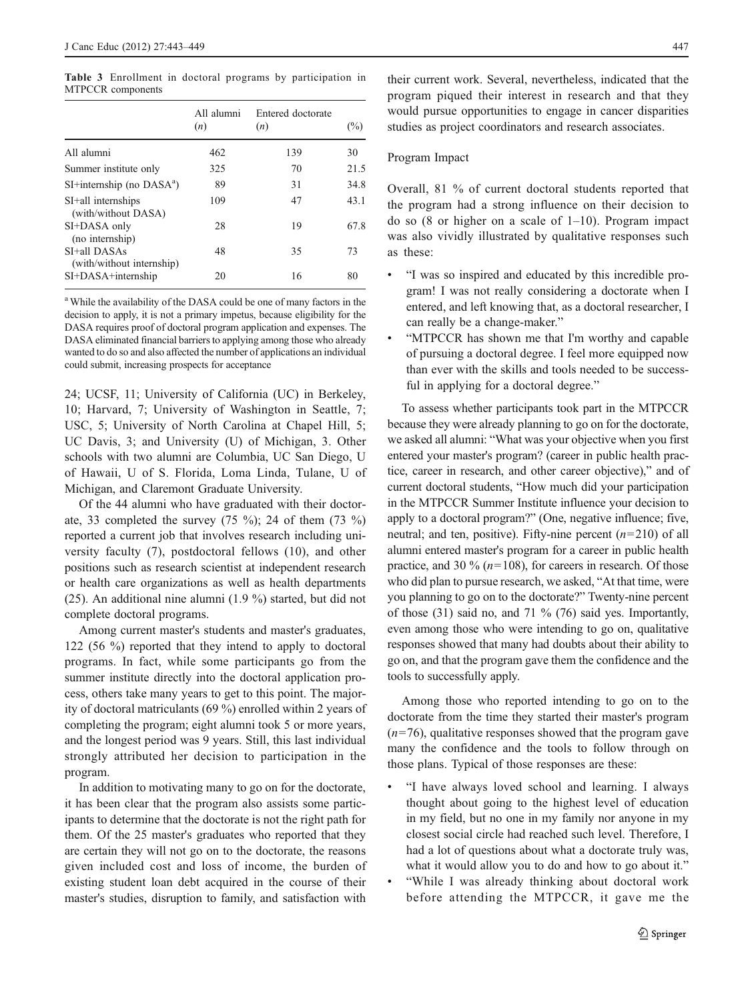<span id="page-4-0"></span>Table 3 Enrollment in doctoral programs by participation in MTPCCR components

|                                                        | All alumni<br>(n) | Entered doctorate<br>(n) | $(\%)$ |
|--------------------------------------------------------|-------------------|--------------------------|--------|
| All alumni                                             | 462               | 139                      | 30     |
| Summer institute only                                  | 325               | 70                       | 21.5   |
| $SI+internship$ (no $DASA^a$ )                         | 89                | 31                       | 34.8   |
| SI <sup>+</sup> all internships<br>(with/without DASA) | 109               | 47                       | 43.1   |
| SI+DASA only<br>(no internship)                        | 28                | 19                       | 67.8   |
| SI <sup>+</sup> all DASAs<br>(with/without internship) | 48                | 35                       | 73     |
| SI+DASA+internship                                     | 20                | 16                       | 80     |

<sup>a</sup> While the availability of the DASA could be one of many factors in the decision to apply, it is not a primary impetus, because eligibility for the DASA requires proof of doctoral program application and expenses. The DASA eliminated financial barriers to applying among those who already wanted to do so and also affected the number of applications an individual could submit, increasing prospects for acceptance

24; UCSF, 11; University of California (UC) in Berkeley, 10; Harvard, 7; University of Washington in Seattle, 7; USC, 5; University of North Carolina at Chapel Hill, 5; UC Davis, 3; and University (U) of Michigan, 3. Other schools with two alumni are Columbia, UC San Diego, U of Hawaii, U of S. Florida, Loma Linda, Tulane, U of Michigan, and Claremont Graduate University.

Of the 44 alumni who have graduated with their doctorate, 33 completed the survey  $(75 \%)$ ; 24 of them  $(73 \%)$ reported a current job that involves research including university faculty (7), postdoctoral fellows (10), and other positions such as research scientist at independent research or health care organizations as well as health departments (25). An additional nine alumni (1.9 %) started, but did not complete doctoral programs.

Among current master's students and master's graduates, 122 (56 %) reported that they intend to apply to doctoral programs. In fact, while some participants go from the summer institute directly into the doctoral application process, others take many years to get to this point. The majority of doctoral matriculants (69 %) enrolled within 2 years of completing the program; eight alumni took 5 or more years, and the longest period was 9 years. Still, this last individual strongly attributed her decision to participation in the program.

In addition to motivating many to go on for the doctorate, it has been clear that the program also assists some participants to determine that the doctorate is not the right path for them. Of the 25 master's graduates who reported that they are certain they will not go on to the doctorate, the reasons given included cost and loss of income, the burden of existing student loan debt acquired in the course of their master's studies, disruption to family, and satisfaction with

their current work. Several, nevertheless, indicated that the program piqued their interest in research and that they would pursue opportunities to engage in cancer disparities studies as project coordinators and research associates.

#### Program Impact

Overall, 81 % of current doctoral students reported that the program had a strong influence on their decision to do so (8 or higher on a scale of 1–10). Program impact was also vividly illustrated by qualitative responses such as these:

- & "I was so inspired and educated by this incredible program! I was not really considering a doctorate when I entered, and left knowing that, as a doctoral researcher, I can really be a change-maker."
- "MTPCCR has shown me that I'm worthy and capable of pursuing a doctoral degree. I feel more equipped now than ever with the skills and tools needed to be successful in applying for a doctoral degree."

To assess whether participants took part in the MTPCCR because they were already planning to go on for the doctorate, we asked all alumni: "What was your objective when you first entered your master's program? (career in public health practice, career in research, and other career objective)," and of current doctoral students, "How much did your participation in the MTPCCR Summer Institute influence your decision to apply to a doctoral program?" (One, negative influence; five, neutral; and ten, positive). Fifty-nine percent  $(n=210)$  of all alumni entered master's program for a career in public health practice, and 30 %  $(n=108)$ , for careers in research. Of those who did plan to pursue research, we asked, "At that time, were you planning to go on to the doctorate?" Twenty-nine percent of those (31) said no, and 71 % (76) said yes. Importantly, even among those who were intending to go on, qualitative responses showed that many had doubts about their ability to go on, and that the program gave them the confidence and the tools to successfully apply.

Among those who reported intending to go on to the doctorate from the time they started their master's program  $(n=76)$ , qualitative responses showed that the program gave many the confidence and the tools to follow through on those plans. Typical of those responses are these:

- & "I have always loved school and learning. I always thought about going to the highest level of education in my field, but no one in my family nor anyone in my closest social circle had reached such level. Therefore, I had a lot of questions about what a doctorate truly was, what it would allow you to do and how to go about it."
- "While I was already thinking about doctoral work before attending the MTPCCR, it gave me the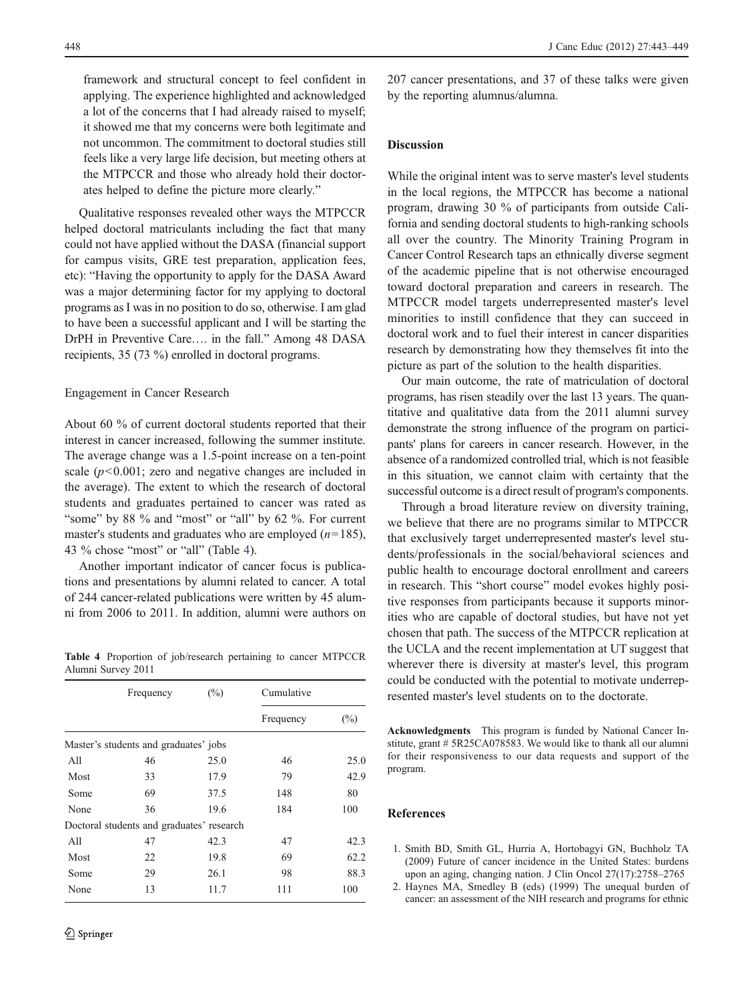<span id="page-5-0"></span>framework and structural concept to feel confident in applying. The experience highlighted and acknowledged a lot of the concerns that I had already raised to myself; it showed me that my concerns were both legitimate and not uncommon. The commitment to doctoral studies still feels like a very large life decision, but meeting others at the MTPCCR and those who already hold their doctorates helped to define the picture more clearly."

Qualitative responses revealed other ways the MTPCCR helped doctoral matriculants including the fact that many could not have applied without the DASA (financial support for campus visits, GRE test preparation, application fees, etc): "Having the opportunity to apply for the DASA Award was a major determining factor for my applying to doctoral programs as I was in no position to do so, otherwise. I am glad to have been a successful applicant and I will be starting the DrPH in Preventive Care…. in the fall." Among 48 DASA recipients, 35 (73 %) enrolled in doctoral programs.

#### Engagement in Cancer Research

About 60 % of current doctoral students reported that their interest in cancer increased, following the summer institute. The average change was a 1.5-point increase on a ten-point scale  $(p<0.001$ ; zero and negative changes are included in the average). The extent to which the research of doctoral students and graduates pertained to cancer was rated as "some" by 88 % and "most" or "all" by 62 %. For current master's students and graduates who are employed  $(n=185)$ , 43 % chose "most" or "all" (Table 4).

Another important indicator of cancer focus is publications and presentations by alumni related to cancer. A total of 244 cancer-related publications were written by 45 alumni from 2006 to 2011. In addition, alumni were authors on

Table 4 Proportion of job/research pertaining to cancer MTPCCR Alumni Survey 2011

|      | Frequency                                 | (%)  | Cumulative |        |  |
|------|-------------------------------------------|------|------------|--------|--|
|      |                                           |      | Frequency  | $(\%)$ |  |
|      | Master's students and graduates' jobs     |      |            |        |  |
| A11  | 46                                        | 25.0 | 46         | 25.0   |  |
| Most | 33                                        | 17.9 | 79         | 42.9   |  |
| Some | 69                                        | 37.5 | 148        | 80     |  |
| None | 36                                        | 19.6 | 184        | 100    |  |
|      | Doctoral students and graduates' research |      |            |        |  |
| A11  | 47                                        | 42.3 | 47         | 42.3   |  |
| Most | 22                                        | 19.8 | 69         | 62.2   |  |
| Some | 29                                        | 26.1 | 98         | 88.3   |  |
| None | 13                                        | 11.7 | 111        | 100    |  |

207 cancer presentations, and 37 of these talks were given by the reporting alumnus/alumna.

### Discussion

While the original intent was to serve master's level students in the local regions, the MTPCCR has become a national program, drawing 30 % of participants from outside California and sending doctoral students to high-ranking schools all over the country. The Minority Training Program in Cancer Control Research taps an ethnically diverse segment of the academic pipeline that is not otherwise encouraged toward doctoral preparation and careers in research. The MTPCCR model targets underrepresented master's level minorities to instill confidence that they can succeed in doctoral work and to fuel their interest in cancer disparities research by demonstrating how they themselves fit into the picture as part of the solution to the health disparities.

Our main outcome, the rate of matriculation of doctoral programs, has risen steadily over the last 13 years. The quantitative and qualitative data from the 2011 alumni survey demonstrate the strong influence of the program on participants' plans for careers in cancer research. However, in the absence of a randomized controlled trial, which is not feasible in this situation, we cannot claim with certainty that the successful outcome is a direct result of program's components.

Through a broad literature review on diversity training, we believe that there are no programs similar to MTPCCR that exclusively target underrepresented master's level students/professionals in the social/behavioral sciences and public health to encourage doctoral enrollment and careers in research. This "short course" model evokes highly positive responses from participants because it supports minorities who are capable of doctoral studies, but have not yet chosen that path. The success of the MTPCCR replication at the UCLA and the recent implementation at UT suggest that wherever there is diversity at master's level, this program could be conducted with the potential to motivate underrepresented master's level students on to the doctorate.

Acknowledgments This program is funded by National Cancer Institute, grant # 5R25CA078583. We would like to thank all our alumni for their responsiveness to our data requests and support of the program.

#### References

- 1. Smith BD, Smith GL, Hurria A, Hortobagyi GN, Buchholz TA (2009) Future of cancer incidence in the United States: burdens upon an aging, changing nation. J Clin Oncol 27(17):2758–2765
- 2. Haynes MA, Smedley B (eds) (1999) The unequal burden of cancer: an assessment of the NIH research and programs for ethnic